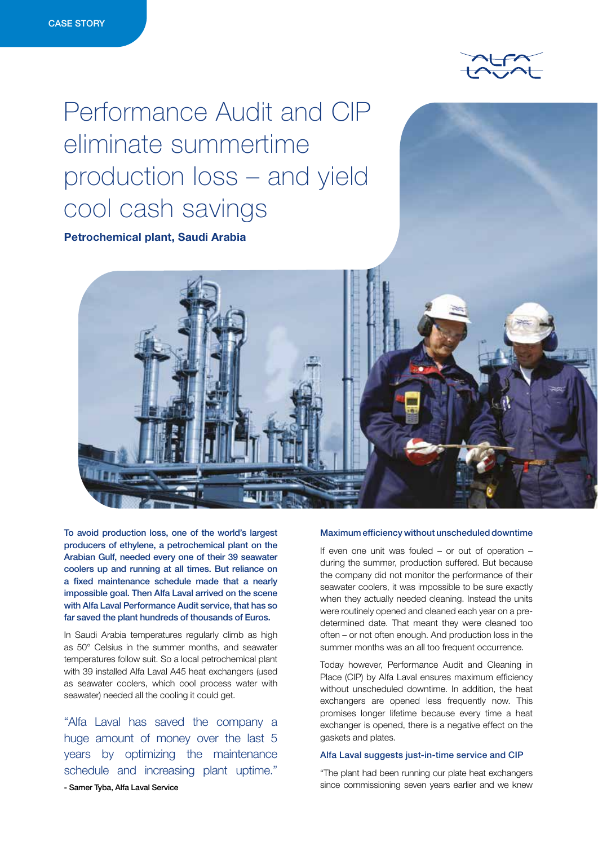

# Performance Audit and CIP eliminate summertime production loss – and yield cool cash savings

Petrochemical plant, Saudi Arabia



To avoid production loss, one of the world's largest producers of ethylene, a petrochemical plant on the Arabian Gulf, needed every one of their 39 seawater coolers up and running at all times. But reliance on a fixed maintenance schedule made that a nearly impossible goal. Then Alfa Laval arrived on the scene with Alfa Laval Performance Audit service, that has so far saved the plant hundreds of thousands of Euros.

In Saudi Arabia temperatures regularly climb as high as 50° Celsius in the summer months, and seawater temperatures follow suit. So a local petrochemical plant with 39 installed Alfa Laval A45 heat exchangers (used as seawater coolers, which cool process water with seawater) needed all the cooling it could get.

"Alfa Laval has saved the company a huge amount of money over the last 5 years by optimizing the maintenance schedule and increasing plant uptime."

# Maximum efficiency without unscheduled downtime

If even one unit was fouled – or out of operation – during the summer, production suffered. But because the company did not monitor the performance of their seawater coolers, it was impossible to be sure exactly when they actually needed cleaning. Instead the units were routinely opened and cleaned each year on a predetermined date. That meant they were cleaned too often – or not often enough. And production loss in the summer months was an all too frequent occurrence.

Today however, Performance Audit and Cleaning in Place (CIP) by Alfa Laval ensures maximum efficiency without unscheduled downtime. In addition, the heat exchangers are opened less frequently now. This promises longer lifetime because every time a heat exchanger is opened, there is a negative effect on the gaskets and plates.

## Alfa Laval suggests just-in-time service and CIP

"The plant had been running our plate heat exchangers since commissioning seven years earlier and we knew

- Samer Tyba, Alfa Laval Service